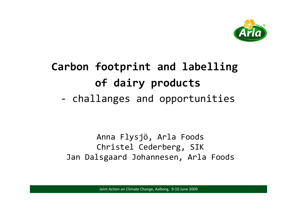

#### **Carbon footprint and labelling of dairy products** ‐challanges and opportunities

Anna Flysjö, Arla Foods Christel Cederberg, SIK Jan Dalsgaard Johannesen, Arla Foods

**1209 12009 12009 12009 12009 12009 12009 12009 12009 12009 12009 12009 12009 12009 12009**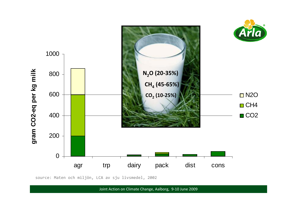

source: Maten och miljön, LCA av sju livsmedel, 2002

**2009 2009 2009 2009 2009 2009 2009 2009 2009 2009 2009 2009 2009 2009 2009 2009 2009 2009 2009 2009 2009 2009 2009 2009 2009 2009 2009 2009 2009 2009 2009 2009**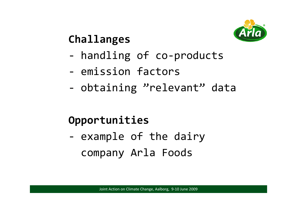

## **Challanges**

- ‐- handling of co-products
- ‐ emission factors
- ‐- obtaining "relevant" data

## **Opportunities**

‐- example of the dairy company Arla Foods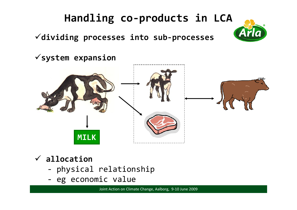## **Handling co‐products in LCA**

Al

**dividing processes into sub‐processes**

**system expansion**



#### **allocation**

- ‐physical relationship
- eg economic value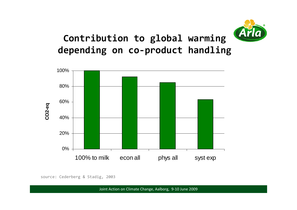

### **Contribution to global warming depending on co‐product handling**



source: Cederberg & Stadig, 2003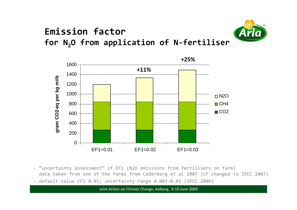#### **Emission factor for N2O from application of <sup>N</sup>‐fertiliser**



‐ "uncertainty assessment" of EF1 (N2O emissions from fertilisers on farm) data taken from one of the farms from Cederberg *et al* 2007 (CF changed to IPCC 2007)

‐ default value EF1 0.01; uncertainty range 0.003‐0.03 (IPCC 2006)

**August 2009 6** Joint Action on Climate Change, Aalborg, 9-10 June 2009 **666 Changes**, August 2009 **666 Changes** 

**+25%**

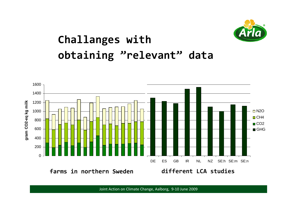

## **Challanges with obtaining "relevant" data**



**August 2009 7** Joint Action on Climate Change, Aalborg, 9‐10 June 2009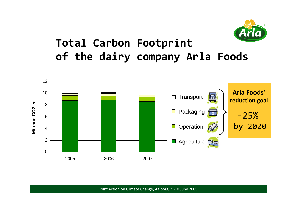

## **Total Carbon Footprint of the dairy company Arla Foods**



**August 2009 8** Joint Action on Climate Change, Aalborg, 9-10 June 2009 **888** March 2009 **888**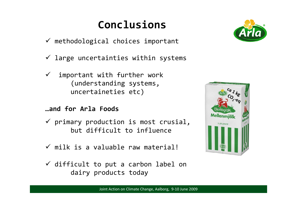## **Conclusions**

- $\checkmark$  methodological choices important
- $\checkmark$  large uncertainties within systems
- $\checkmark$  important with further work (understanding systems, uncertaineties etc)
- **…and for Arla Foods**
- $\checkmark$  primary production is most crusial, but difficult to influence
- $\checkmark$  milk is a valuable raw material!
- $\checkmark$  difficult to put a carbon label on dairy products today